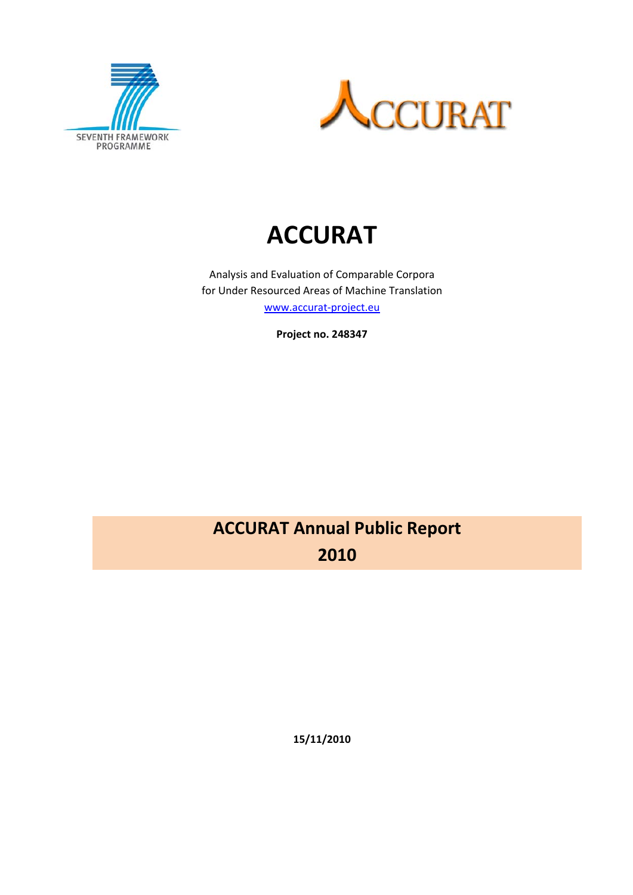



# **ACCURAT**

Analysis and Evaluation of Comparable Corpora for Under Resourced Areas of Machine Translation www.accurat-project.eu

**Project no. 248347**

## **ACCURAT Annual Public Report 2010**

**15/11/2010**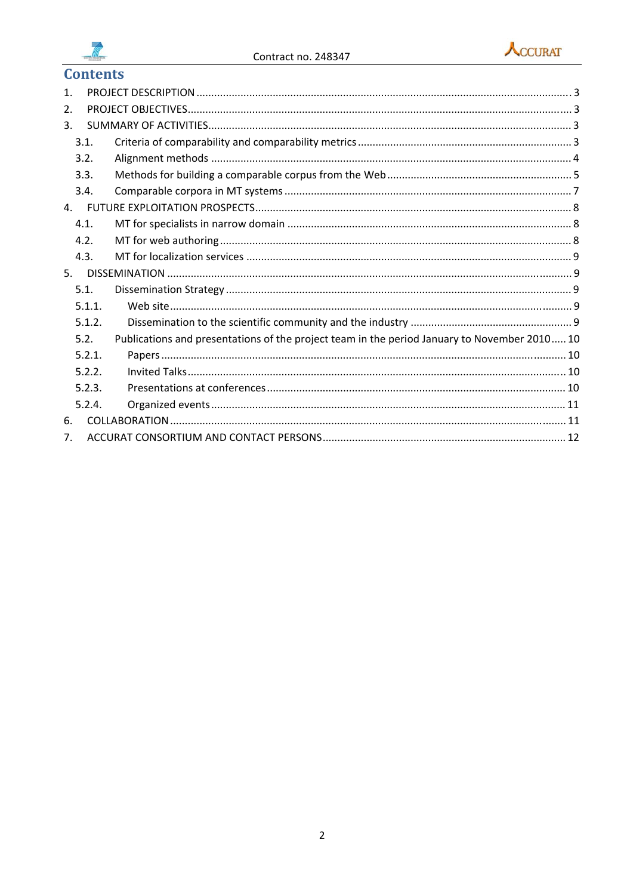



### **Contents**

| $\mathbf{1}$ . |        |                                                                                              |  |  |  |  |
|----------------|--------|----------------------------------------------------------------------------------------------|--|--|--|--|
| 2.             |        |                                                                                              |  |  |  |  |
| 3.             |        |                                                                                              |  |  |  |  |
|                | 3.1.   |                                                                                              |  |  |  |  |
|                | 3.2.   |                                                                                              |  |  |  |  |
|                | 3.3.   |                                                                                              |  |  |  |  |
|                | 3.4.   |                                                                                              |  |  |  |  |
| 4.             |        |                                                                                              |  |  |  |  |
|                | 4.1.   |                                                                                              |  |  |  |  |
|                | 4.2.   |                                                                                              |  |  |  |  |
|                | 4.3.   |                                                                                              |  |  |  |  |
| 5.             |        |                                                                                              |  |  |  |  |
|                | 5.1.   |                                                                                              |  |  |  |  |
|                | 5.1.1. |                                                                                              |  |  |  |  |
|                | 5.1.2. |                                                                                              |  |  |  |  |
|                | 5.2.   | Publications and presentations of the project team in the period January to November 2010 10 |  |  |  |  |
|                | 5.2.1. |                                                                                              |  |  |  |  |
|                | 5.2.2. |                                                                                              |  |  |  |  |
|                | 5.2.3. |                                                                                              |  |  |  |  |
|                | 5.2.4. |                                                                                              |  |  |  |  |
| 6.             |        |                                                                                              |  |  |  |  |
| 7.             |        |                                                                                              |  |  |  |  |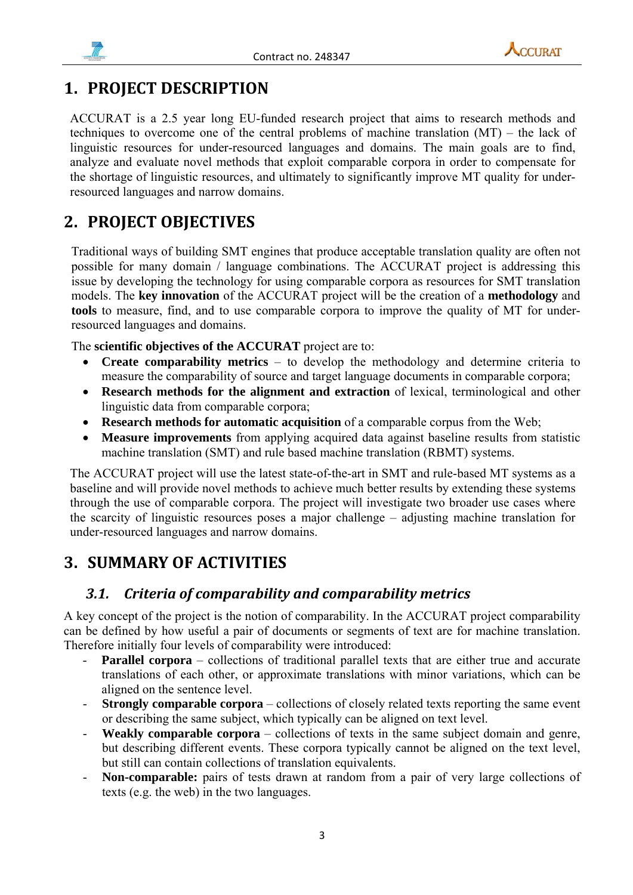



## **1. PROJECT DESCRIPTION**

ACCURAT is a 2.5 year long EU-funded research project that aims to research methods and techniques to overcome one of the central problems of machine translation (MT) – the lack of linguistic resources for under-resourced languages and domains. The main goals are to find, analyze and evaluate novel methods that exploit comparable corpora in order to compensate for the shortage of linguistic resources, and ultimately to significantly improve MT quality for underresourced languages and narrow domains.

## **2. PROJECT OBJECTIVES**

Traditional ways of building SMT engines that produce acceptable translation quality are often not possible for many domain / language combinations. The ACCURAT project is addressing this issue by developing the technology for using comparable corpora as resources for SMT translation models. The **key innovation** of the ACCURAT project will be the creation of a **methodology** and **tools** to measure, find, and to use comparable corpora to improve the quality of MT for underresourced languages and domains.

The **scientific objectives of the ACCURAT** project are to:

- **Create comparability metrics**  to develop the methodology and determine criteria to measure the comparability of source and target language documents in comparable corpora;
- **Research methods for the alignment and extraction** of lexical, terminological and other linguistic data from comparable corpora;
- **Research methods for automatic acquisition** of a comparable corpus from the Web;
- **Measure improvements** from applying acquired data against baseline results from statistic machine translation (SMT) and rule based machine translation (RBMT) systems.

The ACCURAT project will use the latest state-of-the-art in SMT and rule-based MT systems as a baseline and will provide novel methods to achieve much better results by extending these systems through the use of comparable corpora. The project will investigate two broader use cases where the scarcity of linguistic resources poses a major challenge – adjusting machine translation for under-resourced languages and narrow domains.

## **3. SUMMARY OF ACTIVITIES**

### *3.1. Criteria of comparability and comparability metrics*

A key concept of the project is the notion of comparability. In the ACCURAT project comparability can be defined by how useful a pair of documents or segments of text are for machine translation. Therefore initially four levels of comparability were introduced:

- **Parallel corpora** collections of traditional parallel texts that are either true and accurate translations of each other, or approximate translations with minor variations, which can be aligned on the sentence level.
- **Strongly comparable corpora** collections of closely related texts reporting the same event or describing the same subject, which typically can be aligned on text level.
- Weakly comparable corpora collections of texts in the same subject domain and genre, but describing different events. These corpora typically cannot be aligned on the text level, but still can contain collections of translation equivalents.
- **Non-comparable:** pairs of tests drawn at random from a pair of very large collections of texts (e.g. the web) in the two languages.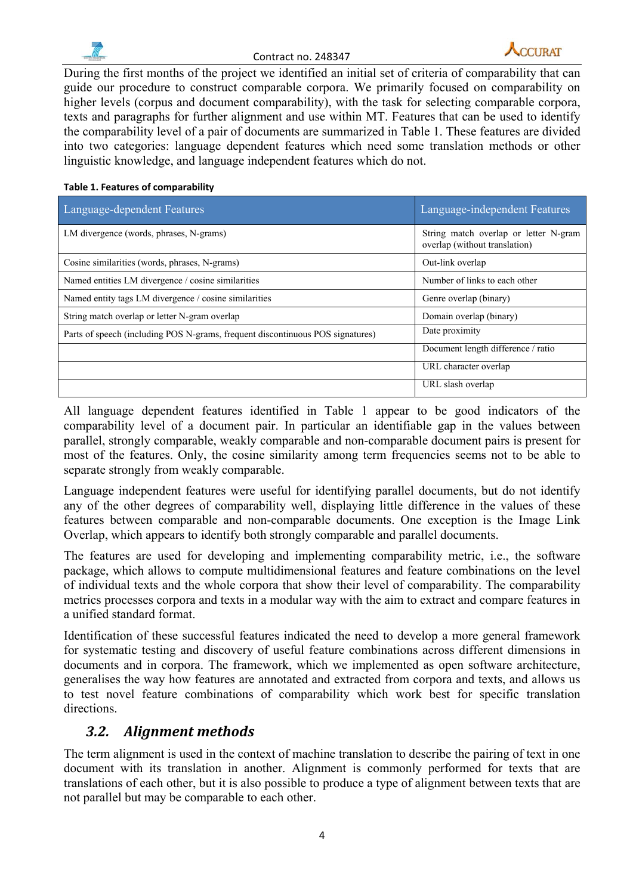



During the first months of the project we identified an initial set of criteria of comparability that can guide our procedure to construct comparable corpora. We primarily focused on comparability on higher levels (corpus and document comparability), with the task for selecting comparable corpora, texts and paragraphs for further alignment and use within MT. Features that can be used to identify the comparability level of a pair of documents are summarized in Table 1. These features are divided into two categories: language dependent features which need some translation methods or other linguistic knowledge, and language independent features which do not.

#### **Table 1. Features of comparability**

| Language-dependent Features                                                    | Language-independent Features                                          |
|--------------------------------------------------------------------------------|------------------------------------------------------------------------|
| LM divergence (words, phrases, N-grams)                                        | String match overlap or letter N-gram<br>overlap (without translation) |
| Cosine similarities (words, phrases, N-grams)                                  | Out-link overlap                                                       |
| Named entities LM divergence / cosine similarities                             | Number of links to each other                                          |
| Named entity tags LM divergence / cosine similarities                          | Genre overlap (binary)                                                 |
| String match overlap or letter N-gram overlap                                  | Domain overlap (binary)                                                |
| Parts of speech (including POS N-grams, frequent discontinuous POS signatures) | Date proximity                                                         |
|                                                                                | Document length difference / ratio                                     |
|                                                                                | URL character overlap                                                  |
|                                                                                | URL slash overlap                                                      |

All language dependent features identified in Table 1 appear to be good indicators of the comparability level of a document pair. In particular an identifiable gap in the values between parallel, strongly comparable, weakly comparable and non-comparable document pairs is present for most of the features. Only, the cosine similarity among term frequencies seems not to be able to separate strongly from weakly comparable.

Language independent features were useful for identifying parallel documents, but do not identify any of the other degrees of comparability well, displaying little difference in the values of these features between comparable and non-comparable documents. One exception is the Image Link Overlap, which appears to identify both strongly comparable and parallel documents.

The features are used for developing and implementing comparability metric, i.e., the software package, which allows to compute multidimensional features and feature combinations on the level of individual texts and the whole corpora that show their level of comparability. The comparability metrics processes corpora and texts in a modular way with the aim to extract and compare features in a unified standard format.

Identification of these successful features indicated the need to develop a more general framework for systematic testing and discovery of useful feature combinations across different dimensions in documents and in corpora. The framework, which we implemented as open software architecture, generalises the way how features are annotated and extracted from corpora and texts, and allows us to test novel feature combinations of comparability which work best for specific translation directions.

### *3.2. Alignment methods*

The term alignment is used in the context of machine translation to describe the pairing of text in one document with its translation in another. Alignment is commonly performed for texts that are translations of each other, but it is also possible to produce a type of alignment between texts that are not parallel but may be comparable to each other.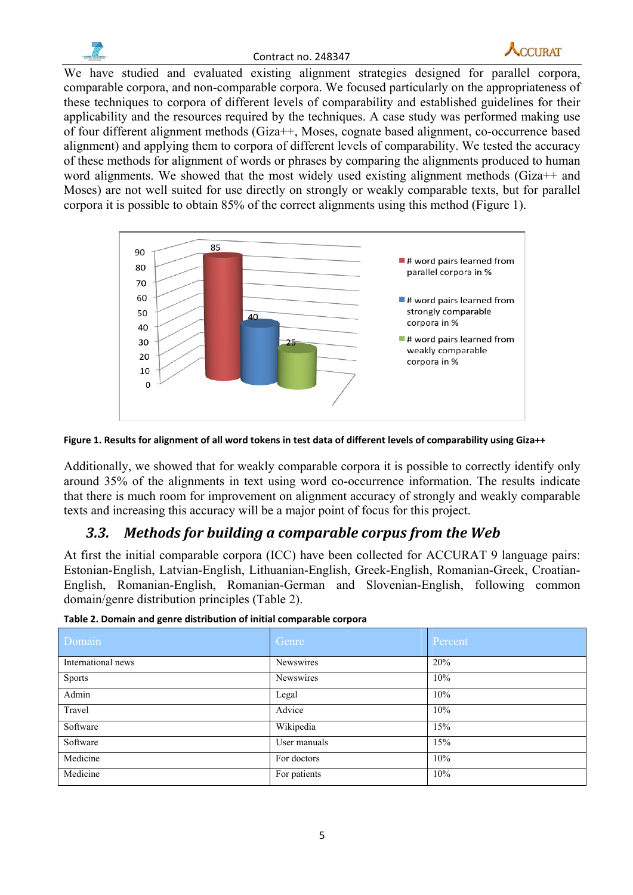



We have studied and evaluated existing alignment strategies designed for parallel corpora, comparable corpora, and non-comparable corpora. We focused particularly on the appropriateness of these techniques to corpora of different levels of comparability and established guidelines for their applicability and the resources required by the techniques. A case study was performed making use of four different alignment methods (Giza++, Moses, cognate based alignment, co-occurrence based alignment) and applying them to corpora of different levels of comparability. We tested the accuracy of these methods for alignment of words or phrases by comparing the alignments produced to human word alignments. We showed that the most widely used existing alignment methods (Giza++ and Moses) are not well suited for use directly on strongly or weakly comparable texts, but for parallel corpora it is possible to obtain 85% of the correct alignments using this method (Figure 1).





Additionally, we showed that for weakly comparable corpora it is possible to correctly identify only around 35% of the alignments in text using word co-occurrence information. The results indicate that there is much room for improvement on alignment accuracy of strongly and weakly comparable texts and increasing this accuracy will be a major point of focus for this project.

### *3.3. Methods for building a comparable corpus from the Web*

At first the initial comparable corpora (ICC) have been collected for ACCURAT 9 language pairs: Estonian-English, Latvian-English, Lithuanian-English, Greek-English, Romanian-Greek, Croatian-English, Romanian-English, Romanian-German and Slovenian-English, following common domain/genre distribution principles (Table 2).

| Domain             | Genre        | Percent |
|--------------------|--------------|---------|
| International news | Newswires    | 20%     |
| Sports             | Newswires    | 10%     |
| Admin              | Legal        | 10%     |
| Travel             | Advice       | 10%     |
| Software           | Wikipedia    | 15%     |
| Software           | User manuals | 15%     |
| Medicine           | For doctors  | 10%     |
| Medicine           | For patients | 10%     |

|  |  | Table 2. Domain and genre distribution of initial comparable corpora |  |
|--|--|----------------------------------------------------------------------|--|
|  |  |                                                                      |  |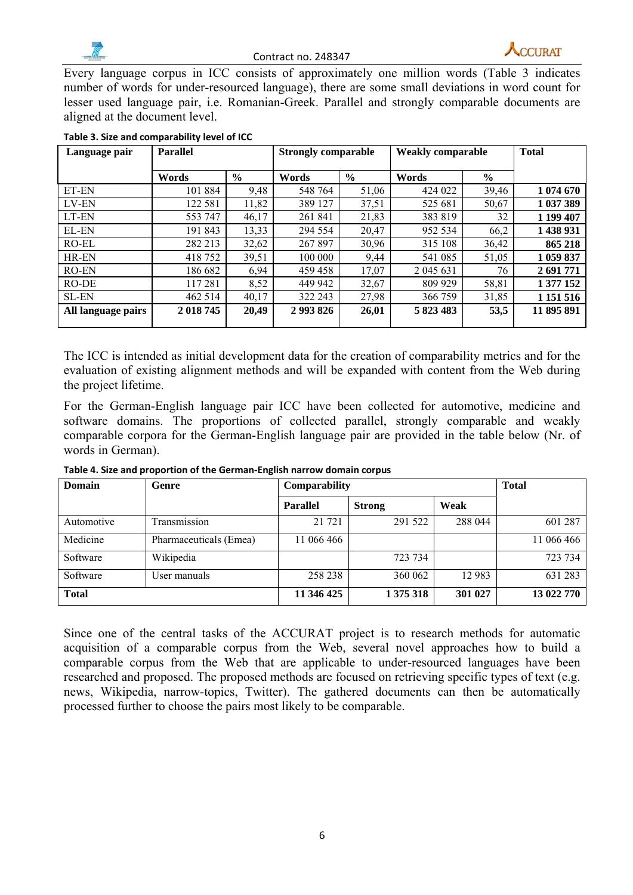



Every language corpus in ICC consists of approximately one million words (Table 3 indicates number of words for under-resourced language), there are some small deviations in word count for lesser used language pair, i.e. Romanian-Greek. Parallel and strongly comparable documents are aligned at the document level.

| <b>Parallel</b><br>Language pair |           | <b>Strongly comparable</b> |               | <b>Weakly comparable</b> |           | <b>Total</b>  |               |
|----------------------------------|-----------|----------------------------|---------------|--------------------------|-----------|---------------|---------------|
|                                  | Words     | $\frac{0}{0}$              | Words         | $\frac{6}{9}$            | Words     | $\frac{6}{9}$ |               |
| ET-EN                            | 101 884   | 9,48                       | 548 764       | 51,06                    | 424 022   | 39,46         | 1 074 670     |
| LV-EN                            | 122 581   | 11,82                      | 389 127       | 37,51                    | 525 681   | 50,67         | 1 037 389     |
| LT-EN                            | 553 747   | 46,17                      | 261 841       | 21,83                    | 383 819   | 32            | 1 199 407     |
| EL-EN                            | 191 843   | 13,33                      | 294 554       | 20,47                    | 952 534   | 66,2          | 1 438 931     |
| RO-EL                            | 282 213   | 32,62                      | 267 897       | 30,96                    | 315 108   | 36,42         | 865 218       |
| HR-EN                            | 418752    | 39,51                      | 100 000       | 9,44                     | 541 085   | 51,05         | 1 059 837     |
| RO-EN                            | 186 682   | 6,94                       | 459 458       | 17,07                    | 2 045 631 | 76            | 2 691 771     |
| RO-DE                            | 117281    | 8,52                       | 449 942       | 32,67                    | 809 929   | 58,81         | 1 377 152     |
| <b>SL-EN</b>                     | 462 514   | 40,17                      | 322 243       | 27,98                    | 366 759   | 31,85         | 1 1 5 1 5 1 6 |
| All language pairs               | 2 018 745 | 20,49                      | 2 9 9 3 8 2 6 | 26,01                    | 5 823 483 | 53,5          | 11 895 891    |

#### **Table 3. Size and comparability level of ICC**

The ICC is intended as initial development data for the creation of comparability metrics and for the evaluation of existing alignment methods and will be expanded with content from the Web during the project lifetime.

For the German-English language pair ICC have been collected for automotive, medicine and software domains. The proportions of collected parallel, strongly comparable and weakly comparable corpora for the German-English language pair are provided in the table below (Nr. of words in German).

| Domain       | Genre                  | Comparability   | <b>Total</b>  |         |            |
|--------------|------------------------|-----------------|---------------|---------|------------|
|              |                        | <b>Parallel</b> | <b>Strong</b> | Weak    |            |
| Automotive   | Transmission           | 21 7 21         | 291 522       | 288 044 | 601 287    |
| Medicine     | Pharmaceuticals (Emea) | 11 066 466      |               |         | 11 066 466 |
| Software     | Wikipedia              |                 | 723 734       |         | 723 734    |
| Software     | User manuals           | 258 238         | 360 062       | 12 9 83 | 631 283    |
| <b>Total</b> |                        | 11 346 425      | 1 375 318     | 301 027 | 13 022 770 |

**Table 4. Size and proportion of the German‐English narrow domain corpus**

Since one of the central tasks of the ACCURAT project is to research methods for automatic acquisition of a comparable corpus from the Web, several novel approaches how to build a comparable corpus from the Web that are applicable to under-resourced languages have been researched and proposed. The proposed methods are focused on retrieving specific types of text (e.g. news, Wikipedia, narrow-topics, Twitter). The gathered documents can then be automatically processed further to choose the pairs most likely to be comparable.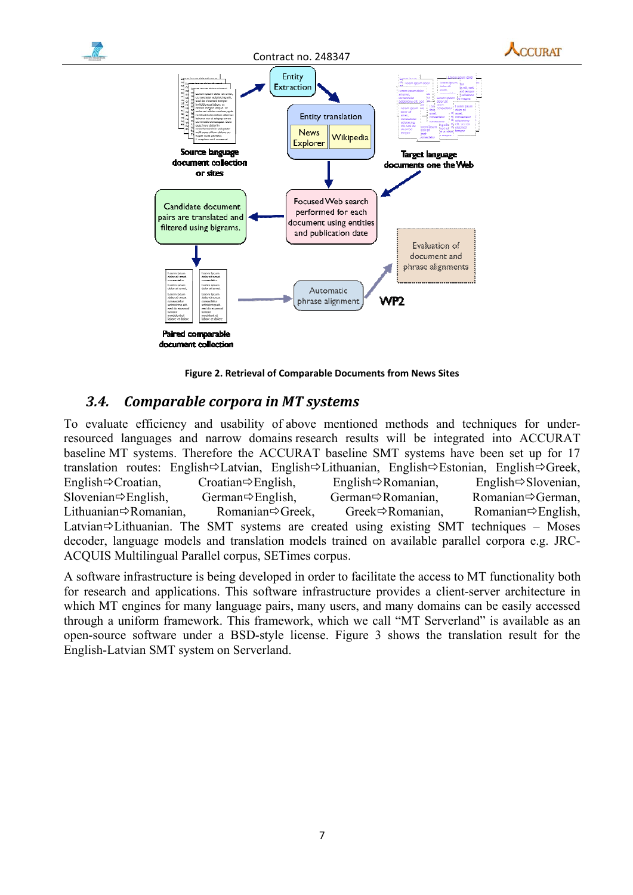

**Figure 2. Retrieval of Comparable Documents from News Sites**

#### *3.4. Comparable corpora in MT systems*

To evaluate efficiency and usability of above mentioned methods and techniques for underresourced languages and narrow domains research results will be integrated into ACCURAT baseline MT systems. Therefore the ACCURAT baseline SMT systems have been set up for 17 translation routes: English $\Rightarrow$ Latvian, English $\Rightarrow$ Lithuanian, English $\Rightarrow$ Estonian, English $\Rightarrow$ Greek, English $\Rightarrow$ Croatian, Croatian $\Rightarrow$ English, English $\Rightarrow$ Romanian, English $\Rightarrow$ Slovenian, Slovenian⇔English, German⇒English, German⇒Romanian, Romanian⇒German, Lithuanian $\Rightarrow$ Romanian, Romanian $\Rightarrow$ Greek, Greek $\Rightarrow$ Romanian, Romanian $\Rightarrow$ English, Latvian $\Rightarrow$ Lithuanian. The SMT systems are created using existing SMT techniques – Moses decoder, language models and translation models trained on available parallel corpora e.g. JRC-ACQUIS Multilingual Parallel corpus, SETimes corpus.

A software infrastructure is being developed in order to facilitate the access to MT functionality both for research and applications. This software infrastructure provides a client-server architecture in which MT engines for many language pairs, many users, and many domains can be easily accessed through a uniform framework. This framework, which we call "MT Serverland" is available as an open-source software under a BSD-style license. Figure 3 shows the translation result for the English-Latvian SMT system on Serverland.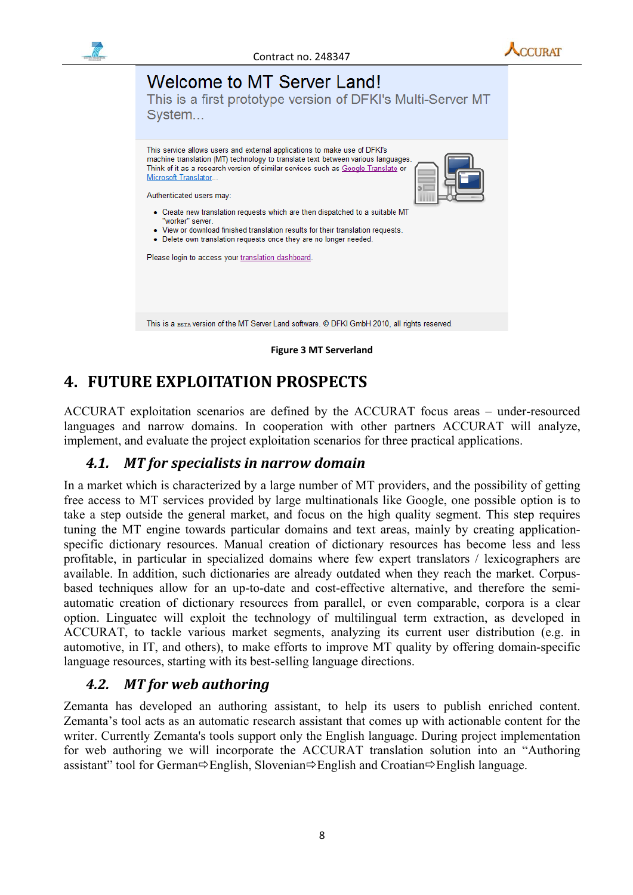

**Figure 3 MT Serverland**

## **4. FUTURE EXPLOITATION PROSPECTS**

ACCURAT exploitation scenarios are defined by the ACCURAT focus areas – under-resourced languages and narrow domains. In cooperation with other partners ACCURAT will analyze, implement, and evaluate the project exploitation scenarios for three practical applications.

### *4.1. MT for specialists in narrow domain*

In a market which is characterized by a large number of MT providers, and the possibility of getting free access to MT services provided by large multinationals like Google, one possible option is to take a step outside the general market, and focus on the high quality segment. This step requires tuning the MT engine towards particular domains and text areas, mainly by creating applicationspecific dictionary resources. Manual creation of dictionary resources has become less and less profitable, in particular in specialized domains where few expert translators / lexicographers are available. In addition, such dictionaries are already outdated when they reach the market. Corpusbased techniques allow for an up-to-date and cost-effective alternative, and therefore the semiautomatic creation of dictionary resources from parallel, or even comparable, corpora is a clear option. Linguatec will exploit the technology of multilingual term extraction, as developed in ACCURAT, to tackle various market segments, analyzing its current user distribution (e.g. in automotive, in IT, and others), to make efforts to improve MT quality by offering domain-specific language resources, starting with its best-selling language directions.

### *4.2. MT for web authoring*

Zemanta has developed an authoring assistant, to help its users to publish enriched content. Zemanta's tool acts as an automatic research assistant that comes up with actionable content for the writer. Currently Zemanta's tools support only the English language. During project implementation for web authoring we will incorporate the ACCURAT translation solution into an "Authoring assistant" tool for German $\Rightarrow$ English, Slovenian $\Rightarrow$ English and Croatian $\Rightarrow$ English language.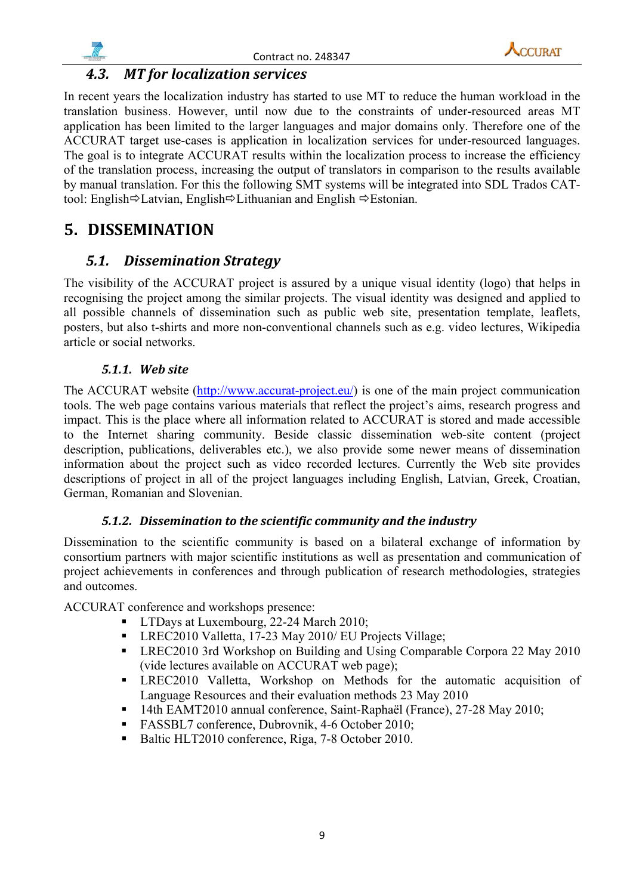





### *4.3. MT for localization services*

In recent years the localization industry has started to use MT to reduce the human workload in the translation business. However, until now due to the constraints of under-resourced areas MT application has been limited to the larger languages and major domains only. Therefore one of the ACCURAT target use-cases is application in localization services for under-resourced languages. The goal is to integrate ACCURAT results within the localization process to increase the efficiency of the translation process, increasing the output of translators in comparison to the results available by manual translation. For this the following SMT systems will be integrated into SDL Trados CATtool: English $\Rightarrow$ Latvian, English $\Rightarrow$ Lithuanian and English  $\Rightarrow$ Estonian.

## **5. DISSEMINATION**

### *5.1. Dissemination Strategy*

The visibility of the ACCURAT project is assured by a unique visual identity (logo) that helps in recognising the project among the similar projects. The visual identity was designed and applied to all possible channels of dissemination such as public web site, presentation template, leaflets, posters, but also t-shirts and more non-conventional channels such as e.g. video lectures, Wikipedia article or social networks.

#### *5.1.1. Web site*

The ACCURAT website  $\frac{(\text{http://www.accurat-project.eu/})}{(\text{http://www.accurat-project.eu/})}$  is one of the main project communication tools. The web page contains various materials that reflect the project's aims, research progress and impact. This is the place where all information related to ACCURAT is stored and made accessible to the Internet sharing community. Beside classic dissemination web-site content (project description, publications, deliverables etc.), we also provide some newer means of dissemination information about the project such as video recorded lectures. Currently the Web site provides descriptions of project in all of the project languages including English, Latvian, Greek, Croatian, German, Romanian and Slovenian.

#### *5.1.2. Dissemination to the scientific community and the industry*

Dissemination to the scientific community is based on a bilateral exchange of information by consortium partners with major scientific institutions as well as presentation and communication of project achievements in conferences and through publication of research methodologies, strategies and outcomes.

ACCURAT conference and workshops presence:

- **LTDays at Luxembourg, 22-24 March 2010;**
- **LREC2010 Valletta, 17-23 May 2010/ EU Projects Village;**
- **LREC2010 3rd Workshop on Building and Using Comparable Corpora 22 May 2010** (vide lectures available on  $\text{ACCURAT}$  web page);
- LREC2010 Valletta, Workshop on Methods for the automatic acquisition of Language Resources and their evaluation methods 23 May 2010
- <sup>14th</sup> EAMT2010 annual conference, Saint-Raphaël (France), 27-28 May 2010;
- FASSBL7 conference, Dubrovnik, 4-6 October 2010;
- Baltic HLT2010 conference, Riga, 7-8 October 2010.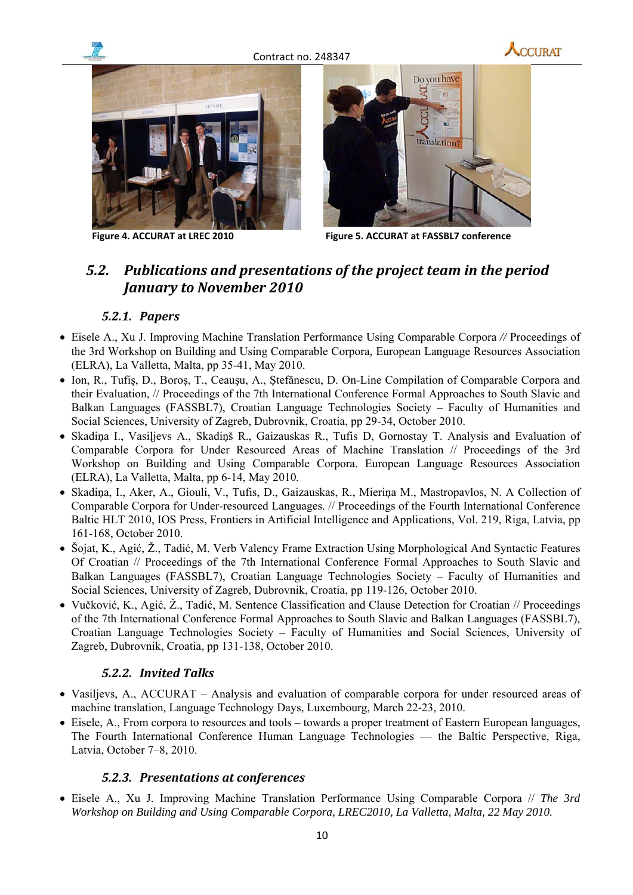

Contract no. 248347





**Figure 4. ACCURAT at LREC 2010 Figure 5. ACCURAT at FASSBL7 conference**

### *5.2. Publications and presentations of the project team in the period January to November 2010*

#### *5.2.1. Papers*

- Eisele A., Xu J. Improving Machine Translation Performance Using Comparable Corpora // Proceedings of the 3rd Workshop on Building and Using Comparable Corpora, European Language Resources Association (ELRA), La Valletta, Malta, pp 35-41, May 2010.
- Ion, R., Tufis, D., Boros, T., Ceausu, A., Stefănescu, D. On-Line Compilation of Comparable Corpora and their Evaluation, // Proceedings of the 7th International Conference Formal Approaches to South Slavic and Balkan Languages (FASSBL7), Croatian Language Technologies Society – Faculty of Humanities and Social Sciences, University of Zagreb, Dubrovnik, Croatia, pp 29-34, October 2010.
- Skadiņa I., Vasiļjevs A., Skadiņš R., Gaizauskas R., Tufis D, Gornostay T. Analysis and Evaluation of Comparable Corpora for Under Resourced Areas of Machine Translation // Proceedings of the 3rd Workshop on Building and Using Comparable Corpora. European Language Resources Association (ELRA), La Valletta, Malta, pp 6-14, May 2010*.*
- Skadiņa, I., Aker, A., Giouli, V., Tufis, D., Gaizauskas, R., Mieriņa M., Mastropavlos, N. A Collection of Comparable Corpora for Under-resourced Languages. // Proceedings of the Fourth International Conference Baltic HLT 2010, IOS Press, Frontiers in Artificial Intelligence and Applications, Vol. 219, Riga, Latvia, pp 161-168, October 2010.
- Šojat, K., Agić, Ž., Tadić, M. Verb Valency Frame Extraction Using Morphological And Syntactic Features Of Croatian // Proceedings of the 7th International Conference Formal Approaches to South Slavic and Balkan Languages (FASSBL7), Croatian Language Technologies Society – Faculty of Humanities and Social Sciences, University of Zagreb, Dubrovnik, Croatia, pp 119-126, October 2010.
- Vučković, K., Agić, Ž., Tadić, M. Sentence Classification and Clause Detection for Croatian // Proceedings of the 7th International Conference Formal Approaches to South Slavic and Balkan Languages (FASSBL7), Croatian Language Technologies Society – Faculty of Humanities and Social Sciences, University of Zagreb, Dubrovnik, Croatia, pp 131-138, October 2010.

#### *5.2.2. Invited Talks*

- Vasiljevs, A., ACCURAT Analysis and evaluation of comparable corpora for under resourced areas of machine translation, Language Technology Days, Luxembourg, March 22‐23, 2010.
- Eisele, A., From corpora to resources and tools towards a proper treatment of Eastern European languages, The Fourth International Conference Human Language Technologies — the Baltic Perspective, Riga, Latvia, October 7–8, 2010.

#### *5.2.3. Presentations at conferences*

• Eisele A., Xu J. Improving Machine Translation Performance Using Comparable Corpora // *The 3rd Workshop on Building and Using Comparable Corpora, LREC2010, La Valletta, Malta, 22 May 2010.*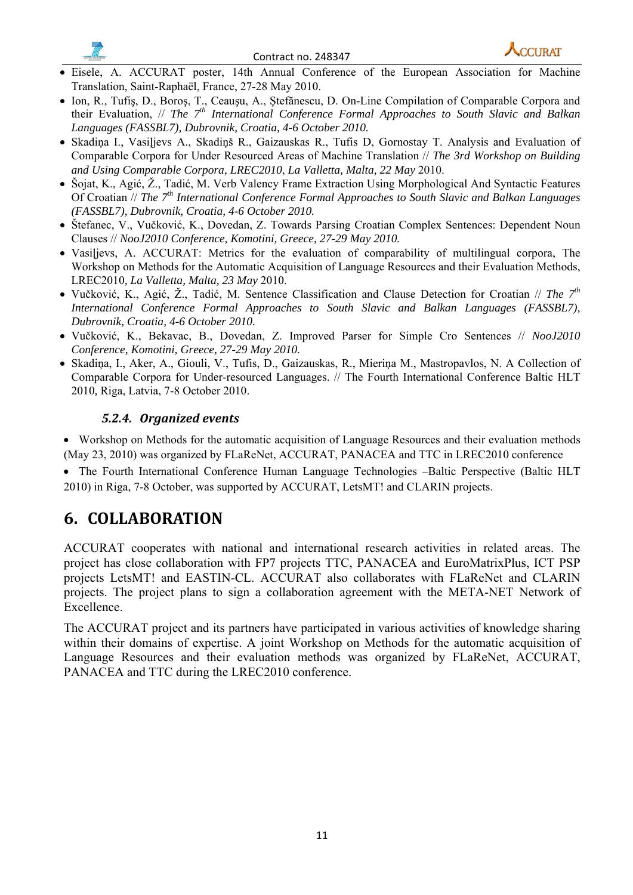



- Eisele, A. ACCURAT poster, 14th Annual Conference of the European Association for Machine Translation, Saint-Raphaël, France, 27-28 May 2010.
- Ion, R., Tufiş, D., Boroş, T., Ceauşu, A., Ştefănescu, D. On-Line Compilation of Comparable Corpora and their Evaluation, // *The 7<sup>th</sup> International Conference Formal Approaches to South Slavic and Balkan Languages (FASSBL7), Dubrovnik, Croatia, 4-6 October 2010.*
- Skadiņa I., Vasiļjevs A., Skadiņš R., Gaizauskas R., Tufis D, Gornostay T. Analysis and Evaluation of Comparable Corpora for Under Resourced Areas of Machine Translation // *The 3rd Workshop on Building and Using Comparable Corpora, LREC2010*, *La Valletta, Malta, 22 May* 2010.
- Šojat, K., Agić, Ž., Tadić, M. Verb Valency Frame Extraction Using Morphological And Syntactic Features Of Croatian // *The 7<sup>th</sup> International Conference Formal Approaches to South Slavic and Balkan Languages (FASSBL7), Dubrovnik, Croatia, 4-6 October 2010.*
- Štefanec, V., Vučković, K., Dovedan, Z. Towards Parsing Croatian Complex Sentences: Dependent Noun Clauses // *NooJ2010 Conference, Komotini, Greece, 27-29 May 2010.*
- Vasilievs, A. ACCURAT: Metrics for the evaluation of comparability of multilingual corpora. The Workshop on Methods for the Automatic Acquisition of Language Resources and their Evaluation Methods, LREC2010*, La Valletta, Malta, 23 May* 2010.
- Vučković, K., Agić, Ž., Tadić, M. Sentence Classification and Clause Detection for Croatian // *The* 7<sup>th</sup> *International Conference Formal Approaches to South Slavic and Balkan Languages (FASSBL7), Dubrovnik, Croatia, 4-6 October 2010.*
- Vučković, K., Bekavac, B., Dovedan, Z. Improved Parser for Simple Cro Sentences // *NooJ2010 Conference, Komotini, Greece, 27-29 May 2010.*
- Skadiņa, I., Aker, A., Giouli, V., Tufis, D., Gaizauskas, R., Mieriņa M., Mastropavlos, N. A Collection of Comparable Corpora for Under-resourced Languages. // The Fourth International Conference Baltic HLT 2010*,* Riga, Latvia, 7-8 October 2010.

#### *5.2.4. Organized events*

• Workshop on Methods for the automatic acquisition of Language Resources and their evaluation methods (May 23, 2010) was organized by FLaReNet, ACCURAT, PANACEA and TTC in LREC2010 conference

• The Fourth International Conference Human Language Technologies –Baltic Perspective (Baltic HLT 2010) in Riga, 7-8 October, was supported by ACCURAT, LetsMT! and CLARIN projects.

## **6. COLLABORATION**

ACCURAT cooperates with national and international research activities in related areas. The project has close collaboration with FP7 projects TTC, PANACEA and EuroMatrixPlus, ICT PSP projects LetsMT! and EASTIN-CL. ACCURAT also collaborates with FLaReNet and CLARIN projects. The project plans to sign a collaboration agreement with the META-NET Network of Excellence.

The ACCURAT project and its partners have participated in various activities of knowledge sharing within their domains of expertise. A joint Workshop on Methods for the automatic acquisition of Language Resources and their evaluation methods was organized by FLaReNet, ACCURAT, PANACEA and TTC during the LREC2010 conference.